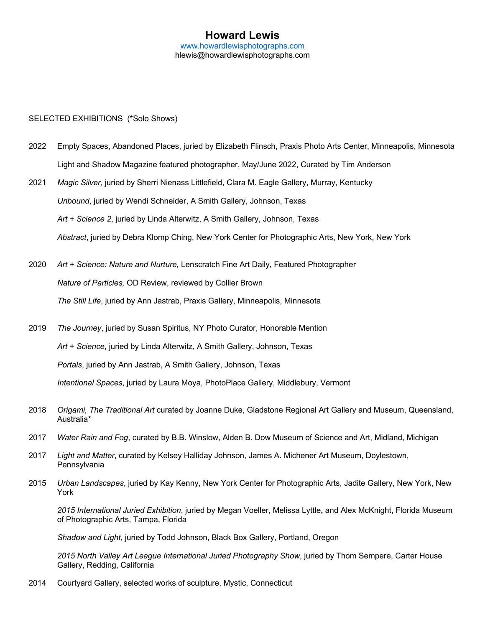## **Howard Lewis** www.howardlewisphotographs.com hlewis@howardlewisphotographs.com

### SELECTED EXHIBITIONS (\*Solo Shows)

- 2022 Empty Spaces, Abandoned Places, juried by Elizabeth Flinsch, Praxis Photo Arts Center, Minneapolis, Minnesota Light and Shadow Magazine featured photographer, May/June 2022, Curated by Tim Anderson
- 2021 *Magic Silver,* juried by Sherri Nienass Littlefield, Clara M. Eagle Gallery, Murray, Kentucky *Unbound*, juried by Wendi Schneider, A Smith Gallery, Johnson, Texas *Art + Science 2*, juried by Linda Alterwitz, A Smith Gallery, Johnson, Texas *Abstract*, juried by Debra Klomp Ching, New York Center for Photographic Arts, New York, New York
- 2020 *Art + Science: Nature and Nurture,* Lenscratch Fine Art Daily, Featured Photographer *Nature of Particles,* OD Review, reviewed by Collier Brown *The Still Life*, juried by Ann Jastrab, Praxis Gallery, Minneapolis, Minnesota
- 2019 *The Journey*, juried by Susan Spiritus, NY Photo Curator, Honorable Mention *Art + Science*, juried by Linda Alterwitz, A Smith Gallery, Johnson, Texas *Portals*, juried by Ann Jastrab, A Smith Gallery, Johnson, Texas *Intentional Spaces*, juried by Laura Moya, PhotoPlace Gallery, Middlebury, Vermont
- 2018 *Origami, The Traditional Art* curated by Joanne Duke, Gladstone Regional Art Gallery and Museum, Queensland, Australia\*
- 2017 *Water Rain and Fog*, curated by B.B. Winslow, Alden B. Dow Museum of Science and Art, Midland, Michigan
- 2017 *Light and Matter*, curated by Kelsey Halliday Johnson, James A. Michener Art Museum, Doylestown, Pennsylvania
- 2015 *Urban Landscapes*, juried by Kay Kenny, New York Center for Photographic Arts, Jadite Gallery, New York, New York

*2015 International Juried Exhibition*, juried by Megan Voeller, Melissa Lyttle**,** and Alex McKnight**,** Florida Museum of Photographic Arts, Tampa, Florida

*Shadow and Light*, juried by Todd Johnson, Black Box Gallery, Portland, Oregon

*2015 North Valley Art League International Juried Photography Show*, juried by Thom Sempere, Carter House Gallery, Redding, California

2014 Courtyard Gallery, selected works of sculpture, Mystic, Connecticut